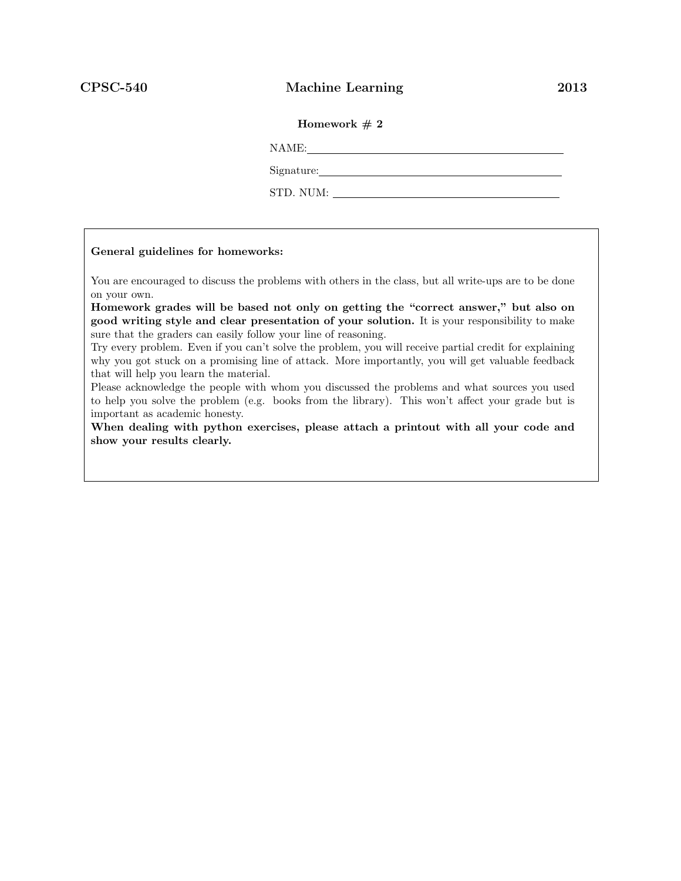### CPSC-540 Machine Learning 2013

### Homework  $# 2$

NAME:

Signature:

STD. NUM:

#### General guidelines for homeworks:

You are encouraged to discuss the problems with others in the class, but all write-ups are to be done on your own.

Homework grades will be based not only on getting the "correct answer," but also on good writing style and clear presentation of your solution. It is your responsibility to make sure that the graders can easily follow your line of reasoning.

Try every problem. Even if you can't solve the problem, you will receive partial credit for explaining why you got stuck on a promising line of attack. More importantly, you will get valuable feedback that will help you learn the material.

Please acknowledge the people with whom you discussed the problems and what sources you used to help you solve the problem (e.g. books from the library). This won't affect your grade but is important as academic honesty.

When dealing with python exercises, please attach a printout with all your code and show your results clearly.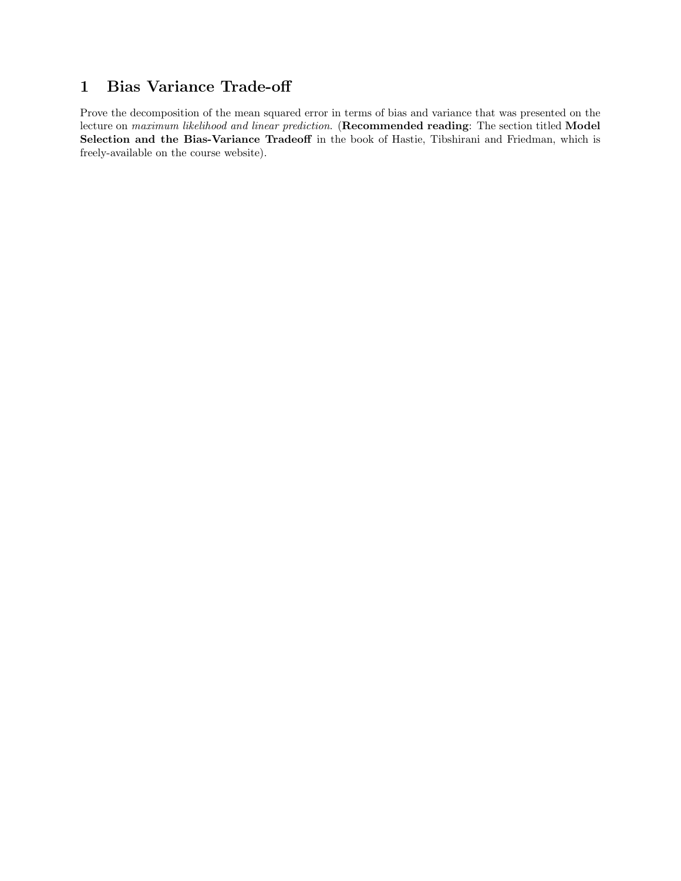# 1 Bias Variance Trade-off

Prove the decomposition of the mean squared error in terms of bias and variance that was presented on the lecture on maximum likelihood and linear prediction. (Recommended reading: The section titled Model Selection and the Bias-Variance Tradeoff in the book of Hastie, Tibshirani and Friedman, which is freely-available on the course website).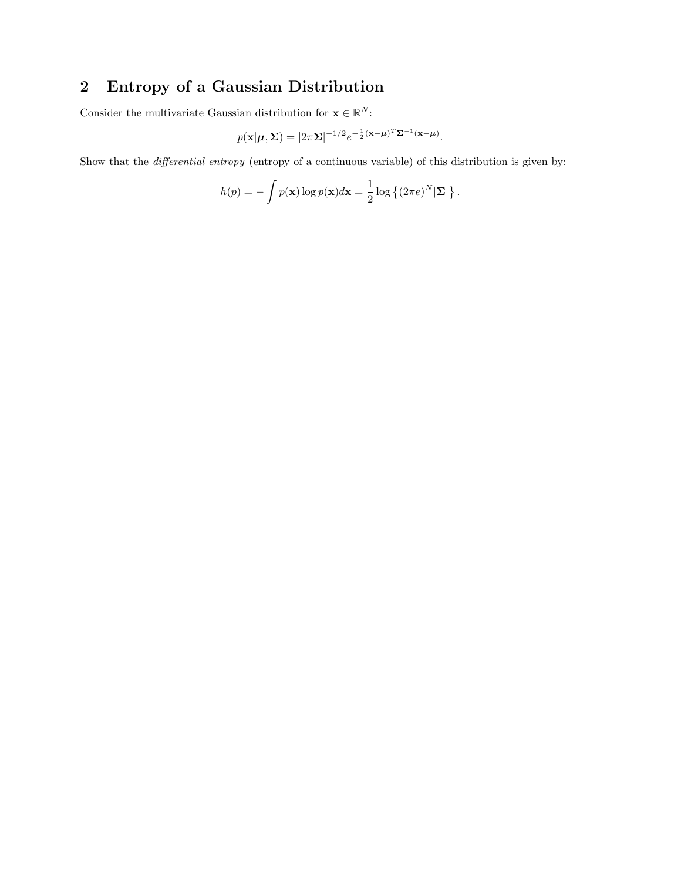# 2 Entropy of a Gaussian Distribution

Consider the multivariate Gaussian distribution for  $\mathbf{x} \in \mathbb{R}^N$ :

$$
p(\mathbf{x}|\boldsymbol{\mu}, \boldsymbol{\Sigma}) = |2\pi \boldsymbol{\Sigma}|^{-1/2} e^{-\frac{1}{2}(\mathbf{x} - \boldsymbol{\mu})^T \boldsymbol{\Sigma}^{-1}(\mathbf{x} - \boldsymbol{\mu})}.
$$

Show that the differential entropy (entropy of a continuous variable) of this distribution is given by:

$$
h(p) = -\int p(\mathbf{x}) \log p(\mathbf{x}) d\mathbf{x} = \frac{1}{2} \log \left\{ (2\pi e)^N |\mathbf{\Sigma}| \right\}.
$$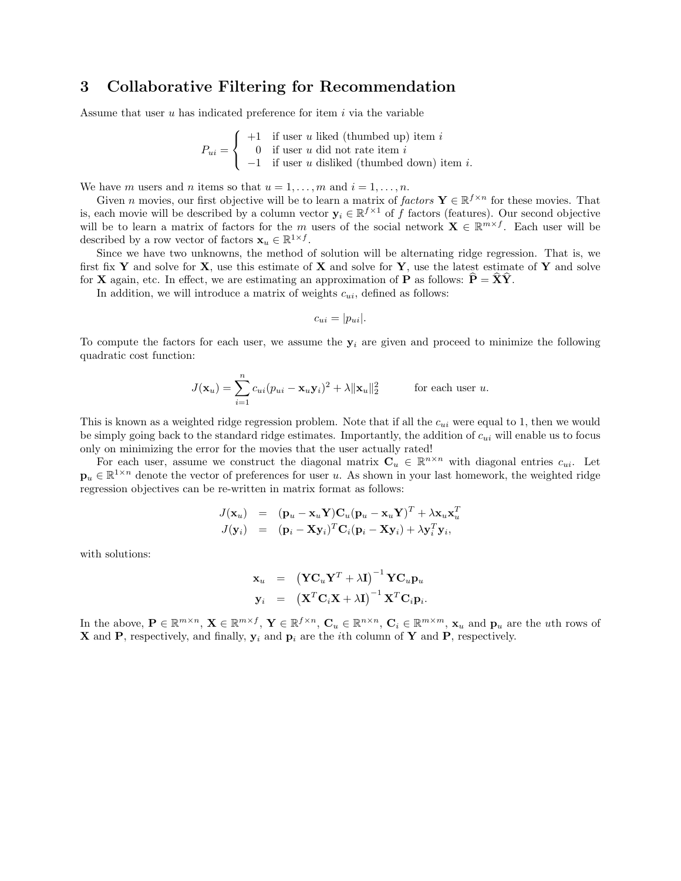## 3 Collaborative Filtering for Recommendation

Assume that user  $u$  has indicated preference for item  $i$  via the variable

$$
P_{ui} = \begin{cases} +1 & \text{if user } u \text{ liked (thumbed up) item } i \\ 0 & \text{if user } u \text{ did not rate item } i \\ -1 & \text{if user } u \text{ dis liked (thumbed down) item } i. \end{cases}
$$

We have m users and n items so that  $u = 1, \ldots, m$  and  $i = 1, \ldots, n$ .

Given n movies, our first objective will be to learn a matrix of factors  $\mathbf{Y} \in \mathbb{R}^{f \times n}$  for these movies. That is, each movie will be described by a column vector  $y_i \in \mathbb{R}^{f \times 1}$  of f factors (features). Our second objective will be to learn a matrix of factors for the m users of the social network  $\mathbf{X} \in \mathbb{R}^{m \times f}$ . Each user will be described by a row vector of factors  $\mathbf{x}_u \in \mathbb{R}^{1 \times f}$ .

Since we have two unknowns, the method of solution will be alternating ridge regression. That is, we first fix Y and solve for X, use this estimate of X and solve for Y, use the latest estimate of Y and solve for **X** again, etc. In effect, we are estimating an approximation of **P** as follows:  $P = XY$ .

In addition, we will introduce a matrix of weights  $c_{ui}$ , defined as follows:

$$
c_{ui} = |p_{ui}|.
$$

To compute the factors for each user, we assume the  $y_i$  are given and proceed to minimize the following quadratic cost function:

$$
J(\mathbf{x}_u) = \sum_{i=1}^n c_{ui} (p_{ui} - \mathbf{x}_u \mathbf{y}_i)^2 + \lambda ||\mathbf{x}_u||_2^2 \quad \text{for each user } u.
$$

This is known as a weighted ridge regression problem. Note that if all the  $c_{ui}$  were equal to 1, then we would be simply going back to the standard ridge estimates. Importantly, the addition of  $c_{ui}$  will enable us to focus only on minimizing the error for the movies that the user actually rated!

For each user, assume we construct the diagonal matrix  $\mathbf{C}_u \in \mathbb{R}^{n \times n}$  with diagonal entries  $c_{ui}$ . Let  $\mathbf{p}_u \in \mathbb{R}^{1 \times n}$  denote the vector of preferences for user u. As shown in your last homework, the weighted ridge regression objectives can be re-written in matrix format as follows:

$$
J(\mathbf{x}_u) = (\mathbf{p}_u - \mathbf{x}_u \mathbf{Y}) \mathbf{C}_u (\mathbf{p}_u - \mathbf{x}_u \mathbf{Y})^T + \lambda \mathbf{x}_u \mathbf{x}_u^T J(\mathbf{y}_i) = (\mathbf{p}_i - \mathbf{X} \mathbf{y}_i)^T \mathbf{C}_i (\mathbf{p}_i - \mathbf{X} \mathbf{y}_i) + \lambda \mathbf{y}_i^T \mathbf{y}_i,
$$

with solutions:

$$
\begin{array}{lll} \displaystyle{\mathbf{x}_u} & = & \displaystyle{\left(\mathbf{Y}\mathbf{C}_u\mathbf{Y}^T + \lambda\mathbf{I}\right)^{-1}\mathbf{Y}\mathbf{C}_u\mathbf{p}_u} \\ \displaystyle{\mathbf{y}_i} & = & \displaystyle{\left(\mathbf{X}^T\mathbf{C}_i\mathbf{X} + \lambda\mathbf{I}\right)^{-1}\mathbf{X}^T\mathbf{C}_i\mathbf{p}_i}. \end{array}
$$

In the above,  $\mathbf{P} \in \mathbb{R}^{m \times n}$ ,  $\mathbf{X} \in \mathbb{R}^{m \times f}$ ,  $\mathbf{Y} \in \mathbb{R}^{f \times n}$ ,  $\mathbf{C}_u \in \mathbb{R}^{n \times n}$ ,  $\mathbf{C}_i \in \mathbb{R}^{m \times m}$ ,  $\mathbf{x}_u$  and  $\mathbf{p}_u$  are the *uth* rows of **X** and **P**, respectively, and finally,  $y_i$  and  $p_i$  are the *i*th column of **Y** and **P**, respectively.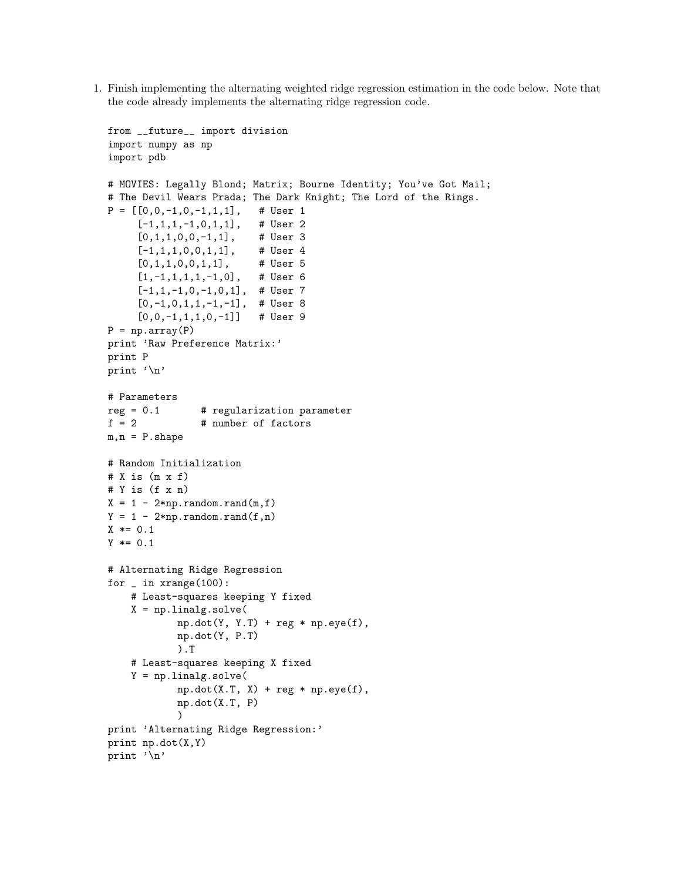1. Finish implementing the alternating weighted ridge regression estimation in the code below. Note that the code already implements the alternating ridge regression code.

```
from __future__ import division
import numpy as np
import pdb
# MOVIES: Legally Blond; Matrix; Bourne Identity; You've Got Mail;
# The Devil Wears Prada; The Dark Knight; The Lord of the Rings.
P = [[0, 0, -1, 0, -1, 1, 1], # User 1[-1,1,1,-1,0,1,1], # User 2
     [0,1,1,0,0,-1,1], # User 3
     [-1,1,1,0,0,1,1], # User 4
     [0,1,1,0,0,1,1], # User 5
     [1,-1,1,1,1,-1,0], # User 6
     [-1,1,-1,0,-1,0,1], # User 7
     [0,-1,0,1,1,-1,-1], # User 8
     [0,0,-1,1,1,0,-1]] # User 9
P = np.array(P)print 'Raw Preference Matrix:'
print P
print '\n'
# Parameters
reg = 0.1 # regularization parameter
f = 2 # number of factors
m, n = P.shape
# Random Initialization
# X is (m \times f)# Y is (f x n)
X = 1 - 2 * np.random.randn(m, f)Y = 1 - 2 * np.random.randn(f, n)X * = 0.1Y * = 0.1# Alternating Ridge Regression
for \_ in xrange(100):
    # Least-squares keeping Y fixed
    X = npulinalg.solve(
            np.dot(Y, Y.T) + reg * np.eye(f),
            np.dot(Y, P.T)
            ).T
    # Least-squares keeping X fixed
    Y = npuinalg.solve(
            np.dot(X.T, X) + reg * np.get(f),np.dot(X.T, P)
            )
print 'Alternating Ridge Regression:'
print np.dot(X,Y)
print '\n'
```